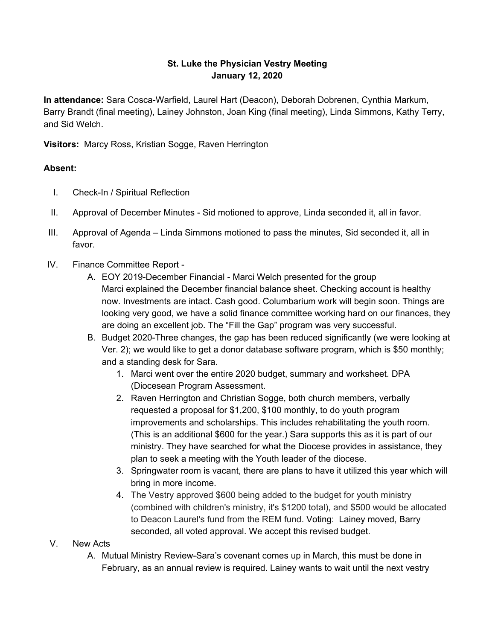## **St. Luke the Physician Vestry Meeting January 12, 2020**

**In attendance:** Sara Cosca-Warfield, Laurel Hart (Deacon), Deborah Dobrenen, Cynthia Markum, Barry Brandt (final meeting), Lainey Johnston, Joan King (final meeting), Linda Simmons, Kathy Terry, and Sid Welch.

**Visitors:** Marcy Ross, Kristian Sogge, Raven Herrington

## **Absent:**

- I. Check-In / Spiritual Reflection
- II. Approval of December Minutes Sid motioned to approve, Linda seconded it, all in favor.
- III. Approval of Agenda Linda Simmons motioned to pass the minutes, Sid seconded it, all in favor.
- IV. Finance Committee Report
	- A. EOY 2019-December Financial Marci Welch presented for the group Marci explained the December financial balance sheet. Checking account is healthy now. Investments are intact. Cash good. Columbarium work will begin soon. Things are looking very good, we have a solid finance committee working hard on our finances, they are doing an excellent job. The "Fill the Gap" program was very successful.
	- B. Budget 2020-Three changes, the gap has been reduced significantly (we were looking at Ver. 2); we would like to get a donor database software program, which is \$50 monthly; and a standing desk for Sara.
		- 1. Marci went over the entire 2020 budget, summary and worksheet. DPA (Diocesean Program Assessment.
		- 2. Raven Herrington and Christian Sogge, both church members, verbally requested a proposal for \$1,200, \$100 monthly, to do youth program improvements and scholarships. This includes rehabilitating the youth room. (This is an additional \$600 for the year.) Sara supports this as it is part of our ministry. They have searched for what the Diocese provides in assistance, they plan to seek a meeting with the Youth leader of the diocese.
		- 3. Springwater room is vacant, there are plans to have it utilized this year which will bring in more income.
		- 4. The Vestry approved \$600 being added to the budget for youth ministry (combined with children's ministry, it's \$1200 total), and \$500 would be allocated to Deacon Laurel's fund from the REM fund. Voting: Lainey moved, Barry seconded, all voted approval. We accept this revised budget.
- V. New Acts
	- A. Mutual Ministry Review-Sara's covenant comes up in March, this must be done in February, as an annual review is required. Lainey wants to wait until the next vestry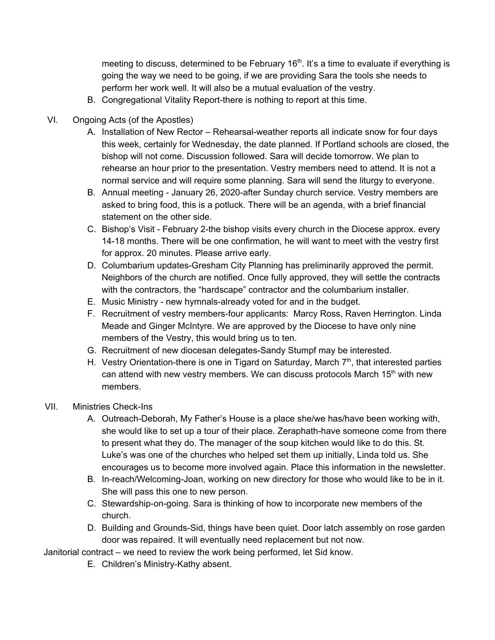meeting to discuss, determined to be February  $16<sup>th</sup>$ . It's a time to evaluate if everything is going the way we need to be going, if we are providing Sara the tools she needs to perform her work well. It will also be a mutual evaluation of the vestry.

- B. Congregational Vitality Report-there is nothing to report at this time.
- VI. Ongoing Acts (of the Apostles)
	- A. Installation of New Rector Rehearsal-weather reports all indicate snow for four days this week, certainly for Wednesday, the date planned. If Portland schools are closed, the bishop will not come. Discussion followed. Sara will decide tomorrow. We plan to rehearse an hour prior to the presentation. Vestry members need to attend. It is not a normal service and will require some planning. Sara will send the liturgy to everyone.
	- B. Annual meeting January 26, 2020-after Sunday church service. Vestry members are asked to bring food, this is a potluck. There will be an agenda, with a brief financial statement on the other side.
	- C. Bishop's Visit February 2-the bishop visits every church in the Diocese approx. every 14-18 months. There will be one confirmation, he will want to meet with the vestry first for approx. 20 minutes. Please arrive early.
	- D. Columbarium updates-Gresham City Planning has preliminarily approved the permit. Neighbors of the church are notified. Once fully approved, they will settle the contracts with the contractors, the "hardscape" contractor and the columbarium installer.
	- E. Music Ministry new hymnals-already voted for and in the budget.
	- F. Recruitment of vestry members-four applicants: Marcy Ross, Raven Herrington. Linda Meade and Ginger McIntyre. We are approved by the Diocese to have only nine members of the Vestry, this would bring us to ten.
	- G. Recruitment of new diocesan delegates-Sandy Stumpf may be interested.
	- H. Vestry Orientation-there is one in Tigard on Saturday, March  $7<sup>th</sup>$ , that interested parties can attend with new vestry members. We can discuss protocols March  $15<sup>th</sup>$  with new members.
- VII. Ministries Check-Ins
	- A. Outreach-Deborah, My Father's House is a place she/we has/have been working with, she would like to set up a tour of their place. Zeraphath-have someone come from there to present what they do. The manager of the soup kitchen would like to do this. St. Luke's was one of the churches who helped set them up initially, Linda told us. She encourages us to become more involved again. Place this information in the newsletter.
	- B. In-reach/Welcoming-Joan, working on new directory for those who would like to be in it. She will pass this one to new person.
	- C. Stewardship-on-going. Sara is thinking of how to incorporate new members of the church.
	- D. Building and Grounds-Sid, things have been quiet. Door latch assembly on rose garden door was repaired. It will eventually need replacement but not now.

Janitorial contract – we need to review the work being performed, let Sid know.

E. Children's Ministry-Kathy absent.